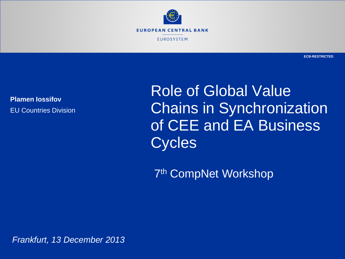

**Plamen Iossifov** EU Countries Division

Role of Global Value Chains in Synchronization of CEE and EA Business Cycles

7th CompNet Workshop

*Frankfurt, 13 December 2013*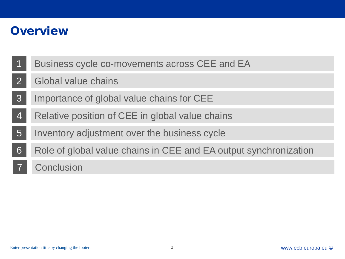### **Overview**

Rubric

- 1 Business cycle co-movements across CEE and EA
- $\mathcal{P}$ Global value chains
- 3 Importance of global value chains for CEE
- 4 Relative position of CEE in global value chains
- 5 Inventory adjustment over the business cycle
- 6 Role of global value chains in CEE and EA output synchronization
- **Conclusion**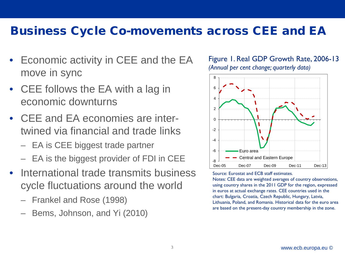### Business Cycle Co-movements across CEE and EA

- Economic activity in CEE and the EA move in sync
- CEE follows the EA with a lag in economic downturns

Rubric

- CEE and EA economies are intertwined via financial and trade links
	- EA is CEE biggest trade partner
	- EA is the biggest provider of FDI in CEE
- International trade transmits business cycle fluctuations around the world
	- Frankel and Rose (1998)
	- Bems, Johnson, and Yi (2010)





Source: Eurostat and ECB staff estimates.

Notes: CEE data are weighted averages of country observations, using country shares in the 2011 GDP for the region, expressed in euros at actual exchange rates. CEE countries used in the chart: Bulgaria, Croatia, Czech Republic, Hungary, Latvia, Lithuania, Poland, and Romania. Historical data for the euro area are based on the present-day country membership in the zone.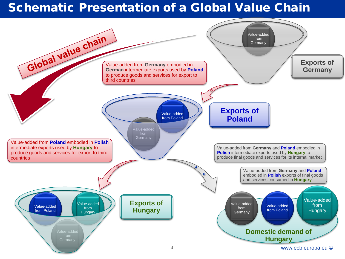## Schematic Presentation of a Global Value Chain

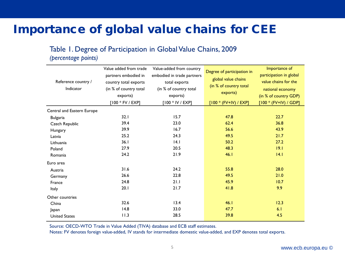## Importance of global value chains for CEE

### Table 1. Degree of Participation in Global Value Chains, 2009

*(percentage points)*

Rubric

|                            | Value added from trade | Value-added from country   | Degree of participation in | Importance of           |
|----------------------------|------------------------|----------------------------|----------------------------|-------------------------|
|                            | partners embodied in   | embodied in trade partners |                            | participation in global |
| Reference country /        | country total exports  | total exports              | global value chains        | value chains for the    |
| Indicator                  | (in % of country total | (in % of country total     | (in % of country total     | national economy        |
|                            | exports)               | exports)                   | exports)                   | (in % of country GDP)   |
|                            | $[100 * FV / EXP]$     | $[100 * IV / EXP]$         | $[100 * (FV+IV) / EXP]$    | $[100 * (FV+IV) / GDP]$ |
| Central and Eastern Europe |                        |                            |                            |                         |
| <b>Bulgaria</b>            | 32.1                   | 15.7                       | 47.8                       | 22.7                    |
| Czech Republic             | 39.4                   | 23.0                       | 62.4                       | 36.8                    |
| Hungary                    | 39.9                   | 16.7                       | 56.6                       | 43.9                    |
| Latvia                     | 25.2                   | 24.3                       | 49.5                       | 21.7                    |
| Lithuania                  | 36.1                   | 4.1                        | 50.2                       | 27.2                    |
| Poland                     | 27.9                   | 20.5                       | 48.3                       | 19.1                    |
| Romania                    | 24.2                   | 21.9                       | 46.1                       | 4.1                     |
| Euro area                  |                        |                            |                            |                         |
| Austria                    | 31.6                   | 24.2                       | 55.8                       | 28.0                    |
| Germany                    | 26.6                   | 22.8                       | 49.5                       | 21.0                    |
| France                     | 24.8                   | 21.1                       | 45.9                       | 10.7                    |
| Italy                      | 20.1                   | 21.7                       | 41.8                       | 9.9                     |
| Other countries            |                        |                            |                            |                         |
| China                      | 32.6                   | 13.4                       | 46.1                       | 12.3                    |
| Japan                      | 14.8                   | 33.0                       | 47.7                       | 6.1                     |
| <b>United States</b>       | 11.3                   | 28.5                       | 39.8                       | 4.5                     |

Source: OECD-WTO Trade in Value Added (TIVA) database and ECB staff estimates.

Notes: FV denotes foreign value-added, IV stands for intermediate domestic value-added, and EXP denotes total exports.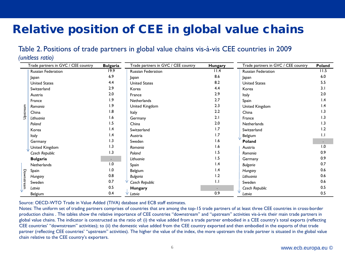# Relative position of CEE in global value chains

### Table 2. Positions of trade partners in global value chains vis-à-vis CEE countries in 2009

#### *(unitless ratio)*

Rubric

|            | Trade partners in GVC / CEE country | <b>Bulgaria</b> | Trade partners in GVC / CEE country | Hungary         | Trade partners in GVC / CEE country | Poland          |
|------------|-------------------------------------|-----------------|-------------------------------------|-----------------|-------------------------------------|-----------------|
| Upstream   | Russian Federation                  | 19.9            | Russian Federation                  | 11.4            | Russian Federation                  | 11.5            |
|            | Japan                               | 6.9             | Japan                               | 8.6             | Japan                               | 6.0             |
|            | <b>United States</b>                | 4.4             | <b>United States</b>                | 8.2             | <b>United States</b>                | 5.5             |
|            | Switzerland                         | 2.9             | Korea                               | 4.4             | Korea                               | 3.1             |
|            | Austria                             | 2.0             | France                              | 2.9             | Italy                               | 2.0             |
|            | France                              | 1.9             | Netherlands                         | 2.7             | Spain                               | $\mathsf{I}$ .4 |
|            | Romania                             | 1.9             | United Kingdom                      | 2.3             | United Kingdom                      | $\mathsf{I}$ .4 |
|            | China                               | 1.8             | Italy                               | 2.2             | China                               | 1.3             |
|            | Lithuania                           | 1.6             | Germany                             | 2.1             | France                              | 1.3             |
|            | Poland                              | 1.5             | China                               | 2.0             | Netherlands                         | I.3             |
|            | Korea                               | 1.4             | Switzerland                         | 1.7             | Switzerland                         | 1.2             |
|            | Italy                               | 1.4             | Austria                             | 1.7             | Belgium                             | 1.1             |
|            | Germany                             | 1.3             | Sweden                              | 1.6             | Poland                              | $\bullet$       |
|            | United Kingdom                      | 1.3             | Romania                             | 1.6             | Austria                             | 0.1             |
|            | Czech Republic                      | 1.3             | Poland                              | 1.5             | Romania                             | 0.9             |
|            | <b>Bulgaria</b>                     |                 | Lithuania                           | 1.5             | Germany                             | 0.9             |
| Downstream | Netherlands                         | 1.0             | Spain                               | 1.4             | <b>Bulgaria</b>                     | 0.7             |
|            | Spain                               | 1.0             | Belgium                             | $\mathsf{I}$ .4 | Hungary                             | 0.6             |
|            | Hungary                             | 0.8             | <b>Bulgaria</b>                     | 1.2             | Lithuania                           | 0.6             |
|            | Sweden                              | 0.7             | Czech Republic                      | 1.1             | Sweden                              | 0.6             |
|            | Latvia                              | 0.5             | Hungary                             |                 | Czech Republic                      | 0.5             |
|            | Belgium                             | 0.4             | Latvia                              | 0.9             | Latvia                              | 0.5             |

Source: OECD-WTO Trade in Value Added (TIVA) database and ECB staff estimates.

Notes: The uniform set of trading partners comprises of countries that are among the top-15 trade partners of at least three CEE countries in cross-border production chains . The tables show the relative importance of CEE countries "downstream" and "upstream" activities vis-à-vis their main trade partners in global value chains. The indicator is constructed as the ratio of: (i) the value added from a trade partner embodied in a CEE country's total exports (reflecting CEE countries' "downstream" activities); to (ii) the domestic value added from the CEE country exported and then embodied in the exports of that trade partner (reflecting CEE countries' "upstream" activities). The higher the value of the index, the more upstream the trade partner is situated in the global value chain relative to the CEE country's exporters.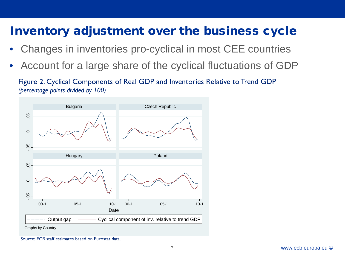# Inventory adjustment over the business cycle

- Changes in inventories pro-cyclical in most CEE countries
- Account for a large share of the cyclical fluctuations of GDP

Figure 2. Cyclical Components of Real GDP and Inventories Relative to Trend GDP *(percentage points divided by 100)*



Rubric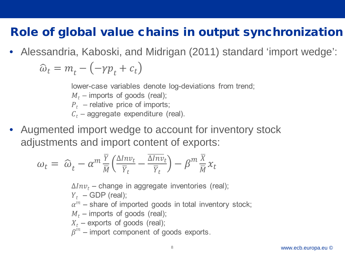## Role of global value chains in output synchronization

• Alessandria, Kaboski, and Midrigan (2011) standard 'import wedge':  $\widehat{\omega}_t = m_t - (-\gamma p_t + c_t)$ 

lower-case variables denote log-deviations from trend;

 $M_t$  – imports of goods (real);

Rubric

- $P_t$  relative price of imports;
- $C_t$  aggregate expenditure (real).
- Augmented import wedge to account for inventory stock adjustments and import content of exports:

$$
\omega_t = \hat{\omega}_t - \alpha^m \frac{\overline{Y}}{\overline{M}} \left( \frac{\Delta Inv_t}{\overline{Y}_t} - \frac{\overline{\Delta Inv_t}}{\overline{Y}_t} \right) - \beta^m \frac{\overline{X}}{\overline{M}} x_t
$$

 $\Delta Inv_t$  – change in aggregate inventories (real);  $Y_t$  – GDP (real);  $\alpha^m$  – share of imported goods in total inventory stock;  $M_t$  – imports of goods (real);  $X_t$  – exports of goods (real);  $\beta^m$  – import component of goods exports.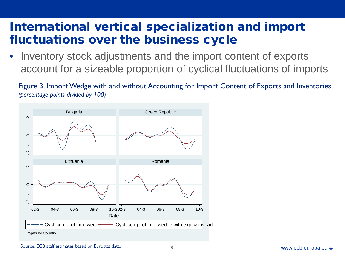# Rubric International vertical specialization and import fluctuations over the business cycle

Inventory stock adjustments and the import content of exports account for a sizeable proportion of cyclical fluctuations of imports

Figure 3. Import Wedge with and without Accounting for Import Content of Exports and Inventories *(percentage points divided by 100)*